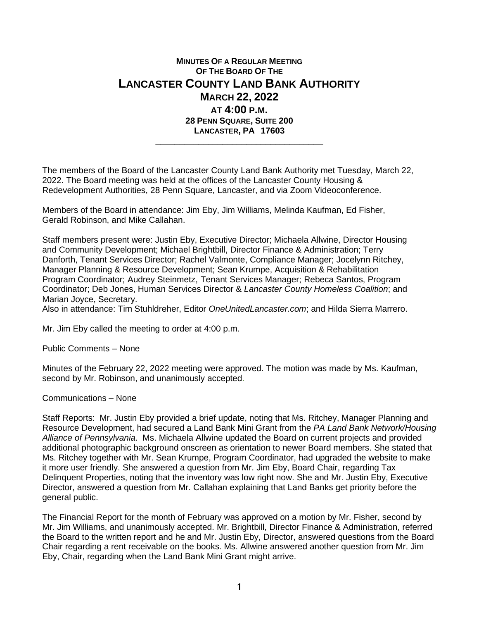## **MINUTES OF A REGULAR MEETING OF THE BOARD OF THE LANCASTER COUNTY LAND BANK AUTHORITY MARCH 22, 2022 AT 4:00 P.M. 28 PENN SQUARE, SUITE 200 LANCASTER, PA 17603 \_\_\_\_\_\_\_\_\_\_\_\_\_\_\_\_\_\_\_\_\_\_\_\_\_\_\_\_\_\_\_\_\_\_\_**

The members of the Board of the Lancaster County Land Bank Authority met Tuesday, March 22, 2022. The Board meeting was held at the offices of the Lancaster County Housing & Redevelopment Authorities, 28 Penn Square, Lancaster, and via Zoom Videoconference.

Members of the Board in attendance: Jim Eby, Jim Williams, Melinda Kaufman, Ed Fisher, Gerald Robinson, and Mike Callahan.

Staff members present were: Justin Eby, Executive Director; Michaela Allwine, Director Housing and Community Development; Michael Brightbill, Director Finance & Administration; Terry Danforth, Tenant Services Director; Rachel Valmonte, Compliance Manager; Jocelynn Ritchey, Manager Planning & Resource Development; Sean Krumpe, Acquisition & Rehabilitation Program Coordinator; Audrey Steinmetz, Tenant Services Manager; Rebeca Santos, Program Coordinator; Deb Jones, Human Services Director & *Lancaster County Homeless Coalition*; and Marian Joyce, Secretary.

Also in attendance: Tim Stuhldreher, Editor *OneUnitedLancaster.com*; and Hilda Sierra Marrero.

Mr. Jim Eby called the meeting to order at 4:00 p.m.

Public Comments – None

Minutes of the February 22, 2022 meeting were approved. The motion was made by Ms. Kaufman, second by Mr. Robinson, and unanimously accepted.

Communications – None

Staff Reports: Mr. Justin Eby provided a brief update, noting that Ms. Ritchey, Manager Planning and Resource Development, had secured a Land Bank Mini Grant from the *PA Land Bank Network/Housing Alliance of Pennsylvania*. Ms. Michaela Allwine updated the Board on current projects and provided additional photographic background onscreen as orientation to newer Board members. She stated that Ms. Ritchey together with Mr. Sean Krumpe, Program Coordinator, had upgraded the website to make it more user friendly. She answered a question from Mr. Jim Eby, Board Chair, regarding Tax Delinquent Properties, noting that the inventory was low right now. She and Mr. Justin Eby, Executive Director, answered a question from Mr. Callahan explaining that Land Banks get priority before the general public.

The Financial Report for the month of February was approved on a motion by Mr. Fisher, second by Mr. Jim Williams, and unanimously accepted. Mr. Brightbill, Director Finance & Administration, referred the Board to the written report and he and Mr. Justin Eby, Director, answered questions from the Board Chair regarding a rent receivable on the books. Ms. Allwine answered another question from Mr. Jim Eby, Chair, regarding when the Land Bank Mini Grant might arrive.